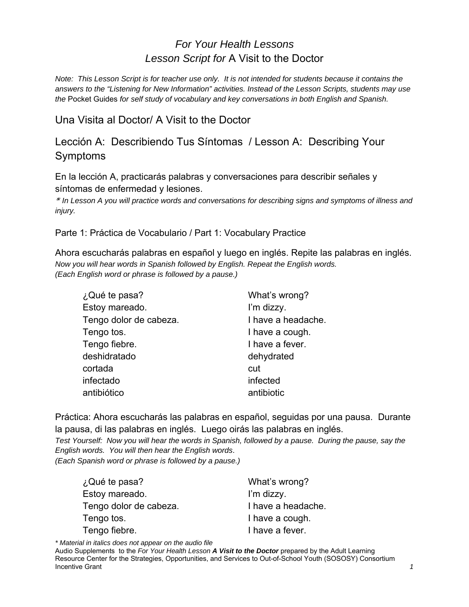## *For Your Health Lessons Lesson Script for* A Visit to the Doctor

*Note: This Lesson Script is for teacher use only. It is not intended for students because it contains the answers to the "Listening for New Information" activities. Instead of the Lesson Scripts, students may use the* Pocket Guides *for self study of vocabulary and key conversations in both English and Spanish.* 

Una Visita al Doctor/ A Visit to the Doctor

Lección A: Describiendo Tus Síntomas / Lesson A: Describing Your Symptoms

En la lección A, practicarás palabras y conversaciones para describir señales y síntomas de enfermedad y lesiones.

\* *In Lesson A you will practice words and conversations for describing signs and symptoms of illness and injury.*

Parte 1: Práctica de Vocabulario / Part 1: Vocabulary Practice

Ahora escucharás palabras en español y luego en inglés. Repite las palabras en inglés. *Now you will hear words in Spanish followed by English. Repeat the English words. (Each English word or phrase is followed by a pause.)* 

| ¿Qué te pasa?          | What's wrong?      |
|------------------------|--------------------|
| Estoy mareado.         | I'm dizzy.         |
| Tengo dolor de cabeza. | I have a headache. |
| Tengo tos.             | I have a cough.    |
| Tengo fiebre.          | I have a fever.    |
| deshidratado           | dehydrated         |
| cortada                | cut                |
| infectado              | infected           |
| antibiótico            | antibiotic         |

Práctica: Ahora escucharás las palabras en español, seguidas por una pausa. Durante la pausa, di las palabras en inglés. Luego oirás las palabras en inglés.

*Test Yourself: Now you will hear the words in Spanish, followed by a pause. During the pause, say the English words. You will then hear the English words*.

*(Each Spanish word or phrase is followed by a pause.)* 

| What's wrong?      |
|--------------------|
| I'm dizzy.         |
| I have a headache. |
| I have a cough.    |
| I have a fever.    |
|                    |

*\* Material in italics does not appear on the audio file*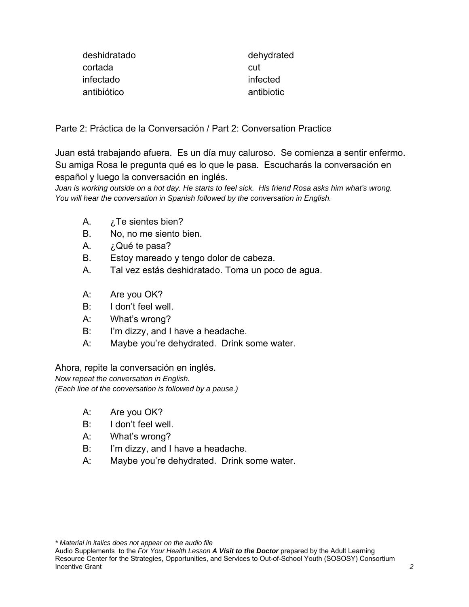| deshidratado | dehydrated |
|--------------|------------|
| cortada      | cut        |
| infectado    | infected   |
| antibiótico  | antibiotic |

Parte 2: Práctica de la Conversación / Part 2: Conversation Practice

Juan está trabajando afuera. Es un día muy caluroso. Se comienza a sentir enfermo. Su amiga Rosa le pregunta qué es lo que le pasa. Escucharás la conversación en español y luego la conversación en inglés.

*Juan is working outside on a hot day. He starts to feel sick. His friend Rosa asks him what's wrong. You will hear the conversation in Spanish followed by the conversation in English.* 

- A. *i*. Te sientes bien?
- B. No, no me siento bien.
- A. ¿Qué te pasa?
- B. Estoy mareado y tengo dolor de cabeza.
- A. Tal vez estás deshidratado. Toma un poco de agua.
- A: Are you OK?
- B: I don't feel well.
- A: What's wrong?
- B: I'm dizzy, and I have a headache.
- A: Maybe you're dehydrated. Drink some water.

Ahora, repite la conversación en inglés.

*Now repeat the conversation in English. (Each line of the conversation is followed by a pause.)* 

- A: Are you OK?
- B: I don't feel well.
- A: What's wrong?
- B: I'm dizzy, and I have a headache.
- A: Maybe you're dehydrated. Drink some water.

Audio Supplements to the *For Your Health Lesson A Visit to the Doctor* prepared by the Adult Learning Resource Center for the Strategies, Opportunities, and Services to Out-of-School Youth (SOSOSY) Consortium **Incentive Grant** 2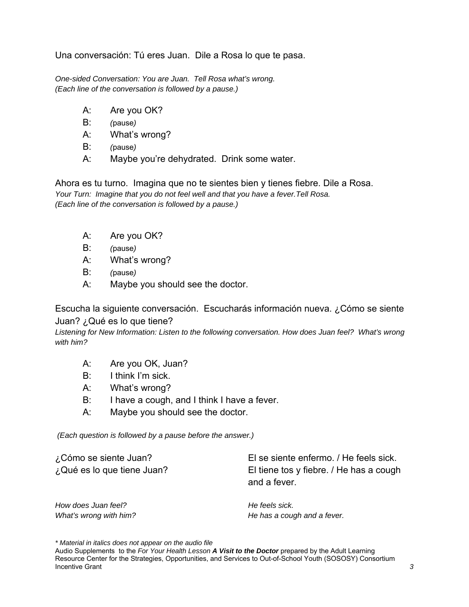Una conversación: Tú eres Juan. Dile a Rosa lo que te pasa.

*One-sided Conversation: You are Juan. Tell Rosa what's wrong. (Each line of the conversation is followed by a pause.)* 

- A: Are you OK?
- B: *(*pause*)*
- A: What's wrong?
- B: *(*pause*)*
- A: Maybe you're dehydrated. Drink some water.

Ahora es tu turno. Imagina que no te sientes bien y tienes fiebre. Dile a Rosa. *Your Turn: Imagine that you do not feel well and that you have a fever.Tell Rosa. (Each line of the conversation is followed by a pause.)* 

- A: Are you OK?
- B: *(*pause*)*
- A: What's wrong?
- B: *(*pause*)*
- A: Maybe you should see the doctor.

Escucha la siguiente conversación. Escucharás información nueva. ¿Cómo se siente Juan? ¿Qué es lo que tiene?

*Listening for New Information: Listen to the following conversation. How does Juan feel? What's wrong with him?* 

- A: Are you OK, Juan?
- B: I think I'm sick.
- A: What's wrong?
- B: I have a cough, and I think I have a fever.
- A: Maybe you should see the doctor.

 *(Each question is followed by a pause before the answer.)* 

| ¿Cómo se siente Juan?      | El se siente enfermo. / He feels sick.  |
|----------------------------|-----------------------------------------|
| ¿Qué es lo que tiene Juan? | El tiene tos y fiebre. / He has a cough |
|                            | and a fever.                            |

*How does Juan feel?* **He feels sick. He feels sick.** 

*What's wrong with him?*  $H$  and  $A$  fever.

*\* Material in italics does not appear on the audio file*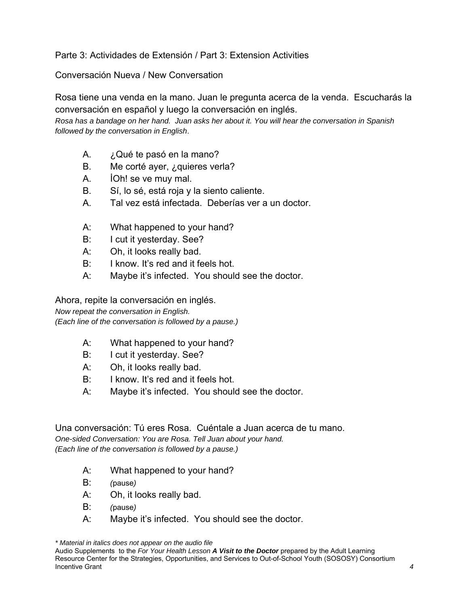Parte 3: Actividades de Extensión / Part 3: Extension Activities

Conversación Nueva / New Conversation

Rosa tiene una venda en la mano. Juan le pregunta acerca de la venda. Escucharás la conversación en español y luego la conversación en inglés.

*Rosa has a bandage on her hand. Juan asks her about it. You will hear the conversation in Spanish followed by the conversation in English*.

- A. ¿Qué te pasó en la mano?
- B. Me corté ayer, ¿quieres verla?
- A. İOh! se ve muy mal.
- B. Sí, lo sé, está roja y la siento caliente.
- A. Tal vez está infectada. Deberías ver a un doctor.
- A: What happened to your hand?
- B: I cut it yesterday. See?
- A: Oh, it looks really bad.
- B: I know. It's red and it feels hot.
- A: Maybe it's infected. You should see the doctor.

Ahora, repite la conversación en inglés.

*Now repeat the conversation in English.* 

*(Each line of the conversation is followed by a pause.)* 

- A: What happened to your hand?
- B: I cut it yesterday. See?
- A: Oh, it looks really bad.
- B: I know. It's red and it feels hot.
- A: Maybe it's infected. You should see the doctor.

Una conversación: Tú eres Rosa. Cuéntale a Juan acerca de tu mano. *One-sided Conversation: You are Rosa. Tell Juan about your hand. (Each line of the conversation is followed by a pause.)* 

- A: What happened to your hand?
- B: *(*pause*)*
- A: Oh, it looks really bad.
- B: *(*pause*)*
- A: Maybe it's infected. You should see the doctor.

Audio Supplements to the *For Your Health Lesson A Visit to the Doctor* prepared by the Adult Learning Resource Center for the Strategies, Opportunities, and Services to Out-of-School Youth (SOSOSY) Consortium Incentive Grant *4*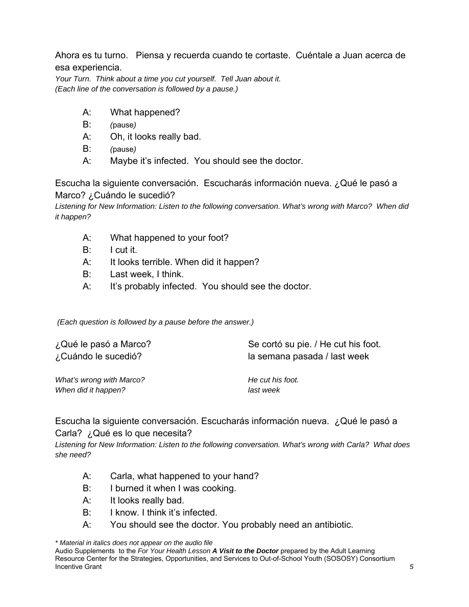Ahora es tu turno. Piensa y recuerda cuando te cortaste. Cuéntale a Juan acerca de esa experiencia.

*Your Turn. Think about a time you cut yourself. Tell Juan about it. (Each line of the conversation is followed by a pause.)* 

- A: What happened?
- B: *(*pause*)*
- A: Oh, it looks really bad.
- B: *(*pause*)*
- A: Maybe it's infected. You should see the doctor.

Escucha la siguiente conversación. Escucharás información nueva. ¿Qué le pasó a Marco? ¿Cuándo le sucedió?

*Listening for New Information: Listen to the following conversation. What's wrong with Marco? When did it happen?* 

- A: What happened to your foot?
- B: I cut it.
- A: It looks terrible. When did it happen?
- B: Last week, I think.
- A: It's probably infected. You should see the doctor.

 *(Each question is followed by a pause before the answer.)* 

| ¿Qué le pasó a Marco?    | Se cortó su pie. / He cut his foot. |
|--------------------------|-------------------------------------|
| ¿Cuándo le sucedió?      | la semana pasada / last week        |
| What's wrong with Marco? | He cut his foot.                    |
| When did it happen?      | last week                           |

Escucha la siguiente conversación. Escucharás información nueva. ¿Qué le pasó a Carla? ¿Qué es lo que necesita?

*Listening for New Information: Listen to the following conversation. What's wrong with Carla? What does she need?* 

- A: Carla, what happened to your hand?
- B: I burned it when I was cooking.
- A: It looks really bad.
- B: I know. I think it's infected.
- A: You should see the doctor. You probably need an antibiotic.

*\* Material in italics does not appear on the audio file*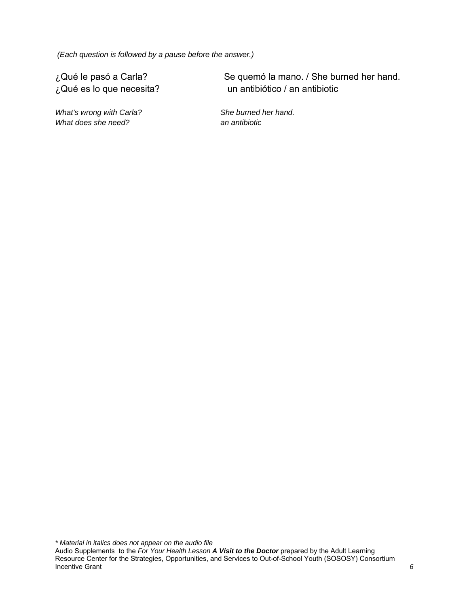*(Each question is followed by a pause before the answer.)* 

What's wrong with Carla? She burned her hand. *What does she need?* an antibiotic *an antibiotic* 

¿Qué le pasó a Carla? Se quemó la mano. / She burned her hand. ¿Qué es lo que necesita? un antibiótico / an antibiotic

*\* Material in italics does not appear on the audio file*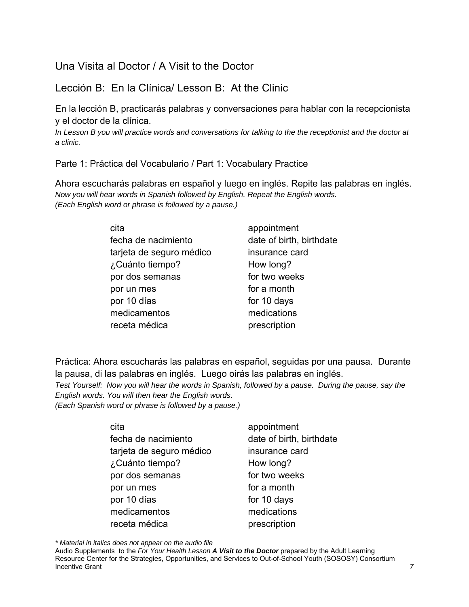Una Visita al Doctor / A Visit to the Doctor

Lección B: En la Clínica/ Lesson B: At the Clinic

En la lección B, practicarás palabras y conversaciones para hablar con la recepcionista y el doctor de la clínica.

*In Lesson B you will practice words and conversations for talking to the the receptionist and the doctor at a clinic.* 

Parte 1: Práctica del Vocabulario / Part 1: Vocabulary Practice

Ahora escucharás palabras en español y luego en inglés. Repite las palabras en inglés. *Now you will hear words in Spanish followed by English. Repeat the English words. (Each English word or phrase is followed by a pause.)* 

| cita                     | appointment              |
|--------------------------|--------------------------|
| fecha de nacimiento      | date of birth, birthdate |
| tarjeta de seguro médico | insurance card           |
| ¿Cuánto tiempo?          | How long?                |
| por dos semanas          | for two weeks            |
| por un mes               | for a month              |
| por 10 días              | for 10 days              |
| medicamentos             | medications              |
| receta médica            | prescription             |

Práctica: Ahora escucharás las palabras en español, seguidas por una pausa. Durante la pausa, di las palabras en inglés. Luego oirás las palabras en inglés.

*Test Yourself: Now you will hear the words in Spanish, followed by a pause. During the pause, say the English words. You will then hear the English words*.

*(Each Spanish word or phrase is followed by a pause.)* 

| cita                     | appointment              |
|--------------------------|--------------------------|
| fecha de nacimiento      | date of birth, birthdate |
| tarjeta de seguro médico | insurance card           |
| ¿Cuánto tiempo?          | How long?                |
| por dos semanas          | for two weeks            |
| por un mes               | for a month              |
| por 10 días              | for 10 days              |
| medicamentos             | medications              |
| receta médica            | prescription             |
|                          |                          |

*\* Material in italics does not appear on the audio file*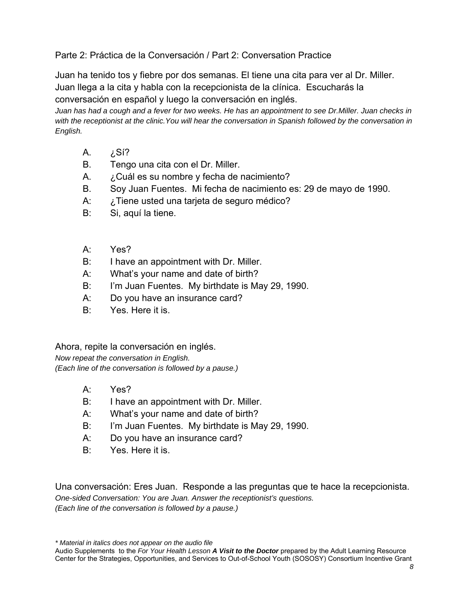Parte 2: Práctica de la Conversación / Part 2: Conversation Practice

Juan ha tenido tos y fiebre por dos semanas. El tiene una cita para ver al Dr. Miller. Juan llega a la cita y habla con la recepcionista de la clínica. Escucharás la conversación en español y luego la conversación en inglés.

*Juan has had a cough and a fever for two weeks. He has an appointment to see Dr.Miller. Juan checks in with the receptionist at the clinic.You will hear the conversation in Spanish followed by the conversation in English.* 

- A. ¿Sí?
- B. Tengo una cita con el Dr. Miller.
- A. ¿Cuál es su nombre y fecha de nacimiento?
- B. Soy Juan Fuentes. Mi fecha de nacimiento es: 29 de mayo de 1990.
- A: ¿Tiene usted una tarjeta de seguro médico?
- B: Si, aquí la tiene.
- A: Yes?
- B: I have an appointment with Dr. Miller.
- A: What's your name and date of birth?
- B: I'm Juan Fuentes. My birthdate is May 29, 1990.
- A: Do you have an insurance card?
- B: Yes. Here it is.

Ahora, repite la conversación en inglés.

*Now repeat the conversation in English. (Each line of the conversation is followed by a pause.)* 

- A: Yes?
- B: I have an appointment with Dr. Miller.
- A: What's your name and date of birth?
- B: I'm Juan Fuentes. My birthdate is May 29, 1990.
- A: Do you have an insurance card?
- B: Yes. Here it is.

Una conversación: Eres Juan. Responde a las preguntas que te hace la recepcionista. *One-sided Conversation: You are Juan. Answer the receptionist's questions. (Each line of the conversation is followed by a pause.)* 

Audio Supplements to the *For Your Health Lesson A Visit to the Doctor* prepared by the Adult Learning Resource Center for the Strategies, Opportunities, and Services to Out-of-School Youth (SOSOSY) Consortium Incentive Grant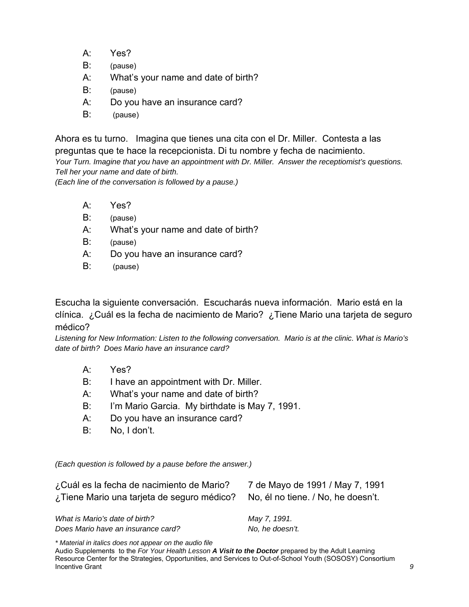- A: Yes?
- B: (pause)
- A: What's your name and date of birth?
- B: (pause)
- A: Do you have an insurance card?
- B: (pause)

Ahora es tu turno. Imagina que tienes una cita con el Dr. Miller. Contesta a las preguntas que te hace la recepcionista. Di tu nombre y fecha de nacimiento. *Your Turn. Imagine that you have an appointment with Dr. Miller. Answer the receptiomist's questions. Tell her your name and date of birth.* 

*(Each line of the conversation is followed by a pause.)* 

- A: Yes?
- B: (pause)
- A: What's your name and date of birth?
- B: (pause)
- A: Do you have an insurance card?
- B: (pause)

Escucha la siguiente conversación. Escucharás nueva información. Mario está en la clínica. ¿Cuál es la fecha de nacimiento de Mario? ¿Tiene Mario una tarjeta de seguro médico?

*Listening for New Information: Listen to the following conversation. Mario is at the clinic. What is Mario's date of birth? Does Mario have an insurance card?*

- A: Yes?
- B: I have an appointment with Dr. Miller.
- A: What's your name and date of birth?
- B: I'm Mario Garcia. My birthdate is May 7, 1991.
- A: Do you have an insurance card?
- B: No, I don't.

*(Each question is followed by a pause before the answer.)* 

| ¿Cuál es la fecha de nacimiento de Mario?<br>¿Tiene Mario una tarieta de seguro médico? | 7 de Mayo de 1991 / May 7, 1991<br>No, él no tiene. / No, he doesn't. |
|-----------------------------------------------------------------------------------------|-----------------------------------------------------------------------|
| What is Mario's date of birth?                                                          | May 7, 1991.                                                          |
| Does Mario have an insurance card?                                                      | No, he doesn't.                                                       |

*\* Material in italics does not appear on the audio file*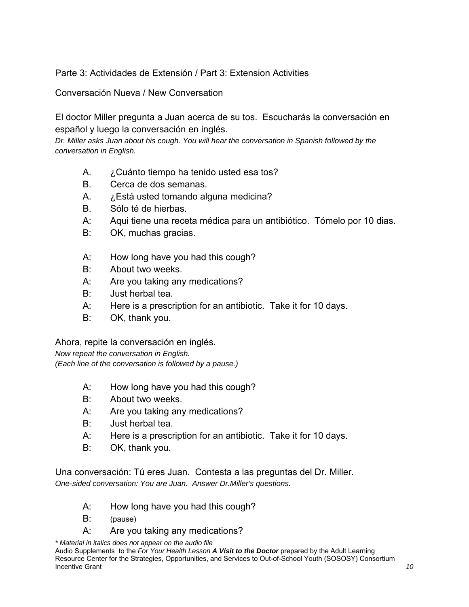## Parte 3: Actividades de Extensión / Part 3: Extension Activities

Conversación Nueva / New Conversation

El doctor Miller pregunta a Juan acerca de su tos. Escucharás la conversación en español y luego la conversación en inglés.

*Dr. Miller asks Juan about his cough. You will hear the conversation in Spanish followed by the conversation in English.* 

- A. ¿Cuánto tiempo ha tenido usted esa tos?
- B. Cerca de dos semanas.
- A. ¿Está usted tomando alguna medicina?
- B. Sólo té de hierbas.
- A: Aqui tiene una receta médica para un antibiótico. Tómelo por 10 dias.
- B: OK, muchas gracias.
- A: How long have you had this cough?
- B: About two weeks.
- A: Are you taking any medications?
- B: Just herbal tea.
- A: Here is a prescription for an antibiotic. Take it for 10 days.
- B: OK, thank you.

Ahora, repite la conversación en inglés.

*Now repeat the conversation in English. (Each line of the conversation is followed by a pause.)* 

- A: How long have you had this cough?
- B: About two weeks.
- A: Are you taking any medications?
- B: Just herbal tea.
- A: Here is a prescription for an antibiotic. Take it for 10 days.
- B: OK, thank you.

Una conversación: Tú eres Juan. Contesta a las preguntas del Dr. Miller. *One-sided conversation: You are Juan. Answer Dr.Miller's questions.* 

- A: How long have you had this cough?
- B: (pause)
- A: Are you taking any medications?

*\* Material in italics does not appear on the audio file* Audio Supplements to the *For Your Health Lesson A Visit to the Doctor* prepared by the Adult Learning Resource Center for the Strategies, Opportunities, and Services to Out-of-School Youth (SOSOSY) Consortium Incentive Grant *10*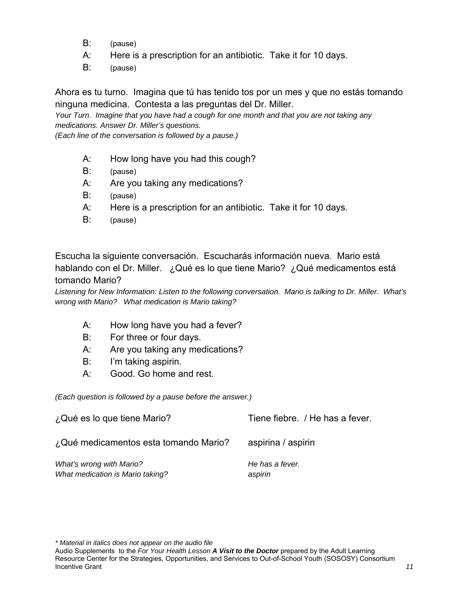- B: (pause)
- A: Here is a prescription for an antibiotic. Take it for 10 days.
- B: (pause)

Ahora es tu turno. Imagina que tú has tenido tos por un mes y que no estás tomando ninguna medicina. Contesta a las preguntas del Dr. Miller.

*Your Turn. Imagine that you have had a cough for one month and that you are not taking any medications. Answer Dr. Miller's questions.* 

*(Each line of the conversation is followed by a pause.)* 

- A: How long have you had this cough?
- B: (pause)
- A: Are you taking any medications?
- B: (pause)
- A: Here is a prescription for an antibiotic. Take it for 10 days.
- B: (pause)

Escucha la siguiente conversación. Escucharás información nueva. Mario está hablando con el Dr. Miller. ¿Qué es lo que tiene Mario? ¿Qué medicamentos está tomando Mario?

*Listening for New Information: Listen to the following conversation. Mario is talking to Dr. Miller. What's wrong with Mario? What medication is Mario taking?* 

- A: How long have you had a fever?
- B: For three or four days.
- A: Are you taking any medications?
- B: I'm taking aspirin.
- A: Good. Go home and rest.

*(Each question is followed by a pause before the answer.)* 

| ¿Qué es lo que tiene Mario?                                  | Tiene fiebre. / He has a fever. |
|--------------------------------------------------------------|---------------------------------|
| ¿Qué medicamentos esta tomando Mario?                        | aspirina / aspirin              |
| What's wrong with Mario?<br>What medication is Mario taking? | He has a fever.<br>aspirin      |

Audio Supplements to the *For Your Health Lesson A Visit to the Doctor* prepared by the Adult Learning Resource Center for the Strategies, Opportunities, and Services to Out-of-School Youth (SOSOSY) Consortium Incentive Grant *11*